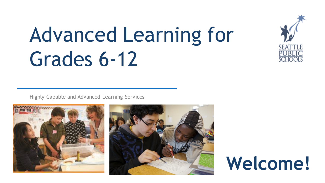

# Advanced Learning for Grades 6-12

Highly Capable and Advanced Learning Services





# **Welcome!**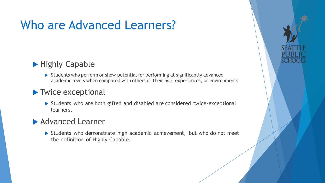## Who are Advanced Learners?

### ▶ Highly Capable

Students who perform or show potential for performing at significantly advanced academic levels when compared with others of their age, experiences, or environments.

#### **Twice exceptional**

 Students who are both gifted and disabled are considered twice-exceptional learners.

### ▶ Advanced Learner

Students who demonstrate high academic achievement, but who do not meet the definition of Highly Capable.

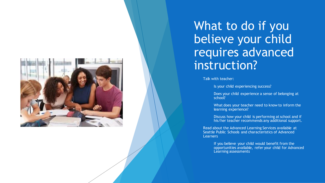

### What to do if you believe your child requires advanced instruction?

Talk with teacher:

Is your child experiencing success?

 Does your child experience a sense of belonging at school?

 What does your teacher need to know to inform the learning experience?

 Discuss how your child is performing at school and if his/her teacher recommends any additional support.

 Read about the Advanced Learning Services available at Seattle Public Schools and characteristics of Advanced Learners

> If you believe your child would benefit from the opportunities available, refer your child for Advanced Learning assessments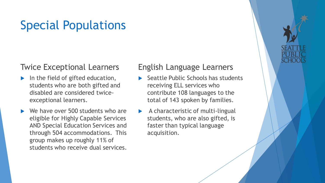## Special Populations

#### Twice Exceptional Learners

- In the field of gifted education, students who are both gifted and disabled are considered twiceexceptional learners.
- We have over 500 students who are eligible for Highly Capable Services AND Special Education Services and through 504 accommodations. This group makes up roughly 11% of students who receive dual services.

#### English Language Learners

- Seattle Public Schools has students receiving ELL services who contribute 108 languages to the total of 143 spoken by families.
- A characteristic of multi-lingual students, who are also gifted, is faster than typical language acquisition.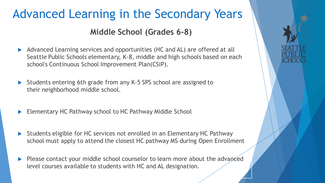# Advanced Learning in the Secondary Years **Middle School (Grades 6-8)**

- Advanced Learning services and opportunities (HC and AL) are offered at all Seattle Public Schools elementary, K-8, middle and high schools based on each school's Continuous School Improvement Plan(CSIP).
- Students entering 6th grade from any K-5 SPS school are assigned to their neighborhood middle school.
- Elementary HC Pathway school to HC Pathway Middle School
- Students eligible for HC services not enrolled in an Elementary HC Pathway school must apply to attend the closest HC pathway MS during Open Enrollment
- Please contact your middle school counselor to learn more about the advanced level courses available to students with HC and AL designation.

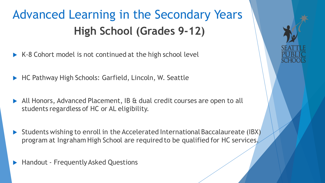# Advanced Learning in the Secondary Years **High School (Grades 9-12)**

- $\triangleright$  K-8 Cohort model is not continued at the high school level
- HC Pathway High Schools: Garfield, Lincoln, W. Seattle
- All Honors, Advanced Placement, IB & dual credit courses are open to all students regardless of HC or AL eligibility.
- Students wishing to enroll in the Accelerated International Baccalaureate (IBX) program at Ingraham High School are required to be qualified for HC services.
- Handout Frequently Asked Questions

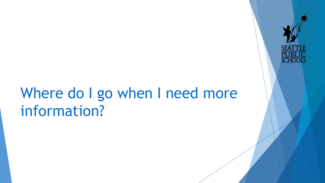# Where do I go when I need more information?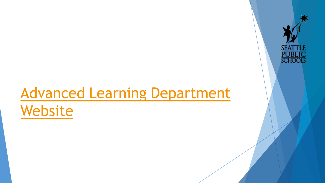# [Advanced Learning Department](https://www.seattleschools.org/cms/One.aspx?portalId=627&pageId=14554)

**SCHOOI** 

# Website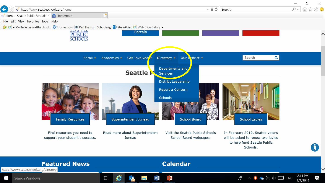

 $\blacksquare$ 

忌

1/7/2019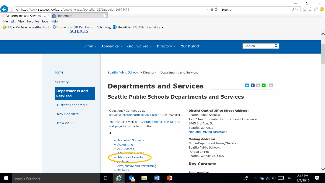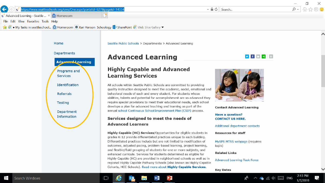



Seattle Public Schools > Departments > Advanced Learning

#### **Advanced Learning**

#### **Highly Capable and Advanced Learning Services**

All schools within Seattle Public Schools are committed to providing quality instruction designed to meet the academic, social, emotional and behavioral needs of each and every student. For students whose abilities, talents and potential for accomplishment are so advanced they require special provisions to meet their educational needs, each school develops a plan for advanced teaching and learning as part of the annual school Continuous School Improvement Plan (CSIP) process.

#### Services designed to meet the needs of **Advanced Learners**

Highly Capable (HC) Services/Opportunities for eligible students in grades K-12 provide differentiated practices unique to each building. Differentiated practices include but are not limited to modification of outcomes, adjusted pacing, problem-based learning, project learning, and flexible/fluid grouping of students for one or more subjects, and enhanced curricula. Services for students determined as eligible for Highly Capable (HC) are provided in neighborhood schools as well as in regional Highly Capable Pathway Schools (also known as Highly Capable Cohorts, HCC Schools). Read more about Highly Capable Services.





**Contact Advanced Learning** 

**Have a question? CONTACT US HERE.** 

Additional department contacts

**Resources for staff** 

MySPS MTSS webpage (requires login)

#### **Related Links**

#### **Advanced Learning Task Force**

**Key Dates** 



乬